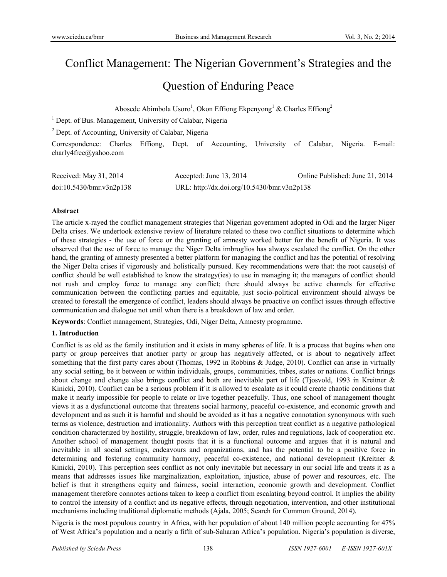# Conflict Management: The Nigerian Government's Strategies and the

# Question of Enduring Peace

Abosede Abimbola Usoro<sup>1</sup>, Okon Effiong Ekpenyong<sup>1</sup> & Charles Effiong<sup>2</sup>

<sup>1</sup> Dept. of Bus. Management, University of Calabar, Nigeria

<sup>2</sup> Dept. of Accounting, University of Calabar, Nigeria

Correspondence: Charles Effiong, Dept. of Accounting, University of Calabar, Nigeria. E-mail: charly4free@yahoo.com

| Received: May 31, 2014   | Accepted: June 13, 2014                     | Online Published: June 21, 2014 |
|--------------------------|---------------------------------------------|---------------------------------|
| doi:10.5430/bmr.v3n2p138 | URL: http://dx.doi.org/10.5430/bmr.v3n2p138 |                                 |

#### **Abstract**

The article x-rayed the conflict management strategies that Nigerian government adopted in Odi and the larger Niger Delta crises. We undertook extensive review of literature related to these two conflict situations to determine which of these strategies - the use of force or the granting of amnesty worked better for the benefit of Nigeria. It was observed that the use of force to manage the Niger Delta imbroglios has always escalated the conflict. On the other hand, the granting of amnesty presented a better platform for managing the conflict and has the potential of resolving the Niger Delta crises if vigorously and holistically pursued. Key recommendations were that: the root cause(s) of conflict should be well established to know the strategy(ies) to use in managing it; the managers of conflict should not rush and employ force to manage any conflict; there should always be active channels for effective communication between the conflicting parties and equitable, just socio-political environment should always be created to forestall the emergence of conflict, leaders should always be proactive on conflict issues through effective communication and dialogue not until when there is a breakdown of law and order.

**Keywords**: Conflict management, Strategies, Odi, Niger Delta, Amnesty programme.

## **1. Introduction**

Conflict is as old as the family institution and it exists in many spheres of life. It is a process that begins when one party or group perceives that another party or group has negatively affected, or is about to negatively affect something that the first party cares about (Thomas, 1992 in Robbins & Judge, 2010). Conflict can arise in virtually any social setting, be it between or within individuals, groups, communities, tribes, states or nations. Conflict brings about change and change also brings conflict and both are inevitable part of life (Tjosvold, 1993 in Kreitner & Kinicki, 2010). Conflict can be a serious problem if it is allowed to escalate as it could create chaotic conditions that make it nearly impossible for people to relate or live together peacefully. Thus, one school of management thought views it as a dysfunctional outcome that threatens social harmony, peaceful co-existence, and economic growth and development and as such it is harmful and should be avoided as it has a negative connotation synonymous with such terms as violence, destruction and irrationality. Authors with this perception treat conflict as a negative pathological condition characterized by hostility, struggle, breakdown of law, order, rules and regulations, lack of cooperation etc. Another school of management thought posits that it is a functional outcome and argues that it is natural and inevitable in all social settings, endeavours and organizations, and has the potential to be a positive force in determining and fostering community harmony, peaceful co-existence, and national development (Kreitner & Kinicki, 2010). This perception sees conflict as not only inevitable but necessary in our social life and treats it as a means that addresses issues like marginalization, exploitation, injustice, abuse of power and resources, etc. The belief is that it strengthens equity and fairness, social interaction, economic growth and development. Conflict management therefore connotes actions taken to keep a conflict from escalating beyond control. It implies the ability to control the intensity of a conflict and its negative effects, through negotiation, intervention, and other institutional mechanisms including traditional diplomatic methods (Ajala, 2005; Search for Common Ground, 2014).

Nigeria is the most populous country in Africa, with her population of about 140 million people accounting for 47% of West Africa's population and a nearly a fifth of sub-Saharan Africa's population. Nigeria's population is diverse,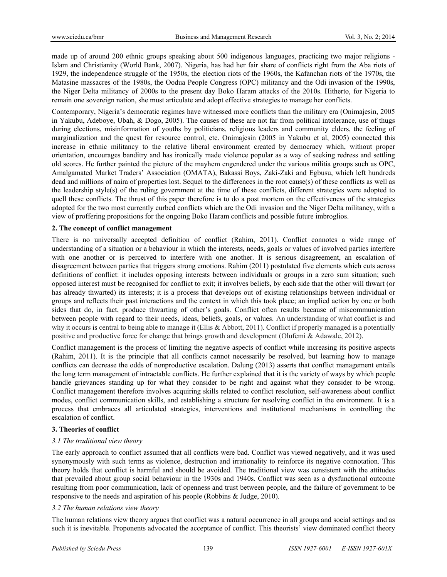made up of around 200 ethnic groups speaking about 500 indigenous languages, practicing two major religions - Islam and Christianity (World Bank, 2007). Nigeria, has had her fair share of conflicts right from the Aba riots of 1929, the independence struggle of the 1950s, the election riots of the 1960s, the Kafanchan riots of the 1970s, the Matasine massacres of the 1980s, the Oodua People Congress (OPC) militancy and the Odi invasion of the 1990s, the Niger Delta militancy of 2000s to the present day Boko Haram attacks of the 2010s. Hitherto, for Nigeria to remain one sovereign nation, she must articulate and adopt effective strategies to manage her conflicts.

Contemporary, Nigeria's democratic regimes have witnessed more conflicts than the military era (Onimajesin, 2005 in Yakubu, Adeboye, Ubah, & Dogo, 2005). The causes of these are not far from political intolerance, use of thugs during elections, misinformation of youths by politicians, religious leaders and community elders, the feeling of marginalization and the quest for resource control, etc. Onimajesin (2005 in Yakubu et al, 2005) connected this increase in ethnic militancy to the relative liberal environment created by democracy which, without proper orientation, encourages banditry and has ironically made violence popular as a way of seeking redress and settling old scores. He further painted the picture of the mayhem engendered under the various militia groups such as OPC, Amalgamated Market Traders' Association (OMATA), Bakassi Boys, Zaki-Zaki and Egbusu, which left hundreds dead and millions of naira of properties lost. Sequel to the differences in the root cause(s) of these conflicts as well as the leadership style(s) of the ruling government at the time of these conflicts, different strategies were adopted to quell these conflicts. The thrust of this paper therefore is to do a post mortem on the effectiveness of the strategies adopted for the two most currently curbed conflicts which are the Odi invasion and the Niger Delta militancy, with a view of proffering propositions for the ongoing Boko Haram conflicts and possible future imbroglios.

## **2. The concept of conflict management**

There is no universally accepted definition of conflict (Rahim, 2011). Conflict connotes a wide range of understanding of a situation or a behaviour in which the interests, needs, goals or values of involved parties interfere with one another or is perceived to interfere with one another. It is serious disagreement, an escalation of disagreement between parties that triggers strong emotions. Rahim (2011) postulated five elements which cuts across definitions of conflict: it includes opposing interests between individuals or groups in a zero sum situation; such opposed interest must be recognised for conflict to exit; it involves beliefs, by each side that the other will thwart (or has already thwarted) its interests; it is a process that develops out of existing relationships between individual or groups and reflects their past interactions and the context in which this took place; an implied action by one or both sides that do, in fact, produce thwarting of other's goals. Conflict often results because of miscommunication between people with regard to their needs, ideas, beliefs, goals, or values. An understanding of what conflict is and why it occurs is central to being able to manage it (Ellis & Abbott, 2011). Conflict if properly managed is a potentially positive and productive force for change that brings growth and development (Olufemi & Adawale, 2012).

Conflict management is the process of limiting the negative aspects of conflict while increasing its positive aspects (Rahim, 2011). It is the principle that all conflicts cannot necessarily be resolved, but learning how to manage conflicts can decrease the odds of nonproductive escalation. Dalung (2013) asserts that conflict management entails the long term management of intractable conflicts. He further explained that it is the variety of ways by which people handle grievances standing up for what they consider to be right and against what they consider to be wrong. Conflict management therefore involves acquiring skills related to conflict resolution, self-awareness about conflict modes, conflict communication skills, and establishing a structure for resolving conflict in the environment. It is a process that embraces all articulated strategies, interventions and institutional mechanisms in controlling the escalation of conflict.

## **3. Theories of conflict**

## *3.1 The traditional view theory*

The early approach to conflict assumed that all conflicts were bad. Conflict was viewed negatively, and it was used synonymously with such terms as violence, destruction and irrationality to reinforce its negative connotation. This theory holds that conflict is harmful and should be avoided. The traditional view was consistent with the attitudes that prevailed about group social behaviour in the 1930s and 1940s. Conflict was seen as a dysfunctional outcome resulting from poor communication, lack of openness and trust between people, and the failure of government to be responsive to the needs and aspiration of his people (Robbins & Judge, 2010).

## *3.2 The human relations view theory*

The human relations view theory argues that conflict was a natural occurrence in all groups and social settings and as such it is inevitable. Proponents advocated the acceptance of conflict. This theorists' view dominated conflict theory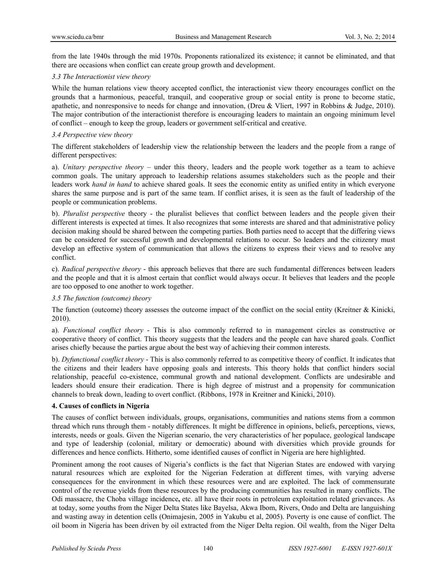from the late 1940s through the mid 1970s. Proponents rationalized its existence; it cannot be eliminated, and that there are occasions when conflict can create group growth and development.

#### *3.3 The Interactionist view theory*

While the human relations view theory accepted conflict, the interactionist view theory encourages conflict on the grounds that a harmonious, peaceful, tranquil, and cooperative group or social entity is prone to become static, apathetic, and nonresponsive to needs for change and innovation, (Dreu & Vliert, 1997 in Robbins & Judge, 2010). The major contribution of the interactionist therefore is encouraging leaders to maintain an ongoing minimum level of conflict – enough to keep the group, leaders or government self-critical and creative.

#### *3.4 Perspective view theory*

The different stakeholders of leadership view the relationship between the leaders and the people from a range of different perspectives:

a). *Unitary perspective theory* – under this theory, leaders and the people work together as a team to achieve common goals. The unitary approach to leadership relations assumes stakeholders such as the people and their leaders work *hand in hand* to achieve shared goals. It sees the economic entity as unified entity in which everyone shares the same purpose and is part of the same team. If conflict arises, it is seen as the fault of leadership of the people or communication problems.

b). *Pluralist perspective* theory - the pluralist believes that conflict between leaders and the people given their different interests is expected at times. It also recognizes that some interests are shared and that administrative policy decision making should be shared between the competing parties. Both parties need to accept that the differing views can be considered for successful growth and developmental relations to occur. So leaders and the citizenry must develop an effective system of communication that allows the citizens to express their views and to resolve any conflict.

c). *Radical perspective theory* - this approach believes that there are such fundamental differences between leaders and the people and that it is almost certain that conflict would always occur. It believes that leaders and the people are too opposed to one another to work together.

*3.5 The function (outcome) theory* 

The function (outcome) theory assesses the outcome impact of the conflict on the social entity (Kreitner & Kinicki, 2010).

a). *Functional conflict theory* - This is also commonly referred to in management circles as constructive or cooperative theory of conflict. This theory suggests that the leaders and the people can have shared goals. Conflict arises chiefly because the parties argue about the best way of achieving their common interests.

b). *Dyfunctional conflict theory* - This is also commonly referred to as competitive theory of conflict. It indicates that the citizens and their leaders have opposing goals and interests. This theory holds that conflict hinders social relationship, peaceful co-existence, communal growth and national development. Conflicts are undesirable and leaders should ensure their eradication. There is high degree of mistrust and a propensity for communication channels to break down, leading to overt conflict. (Ribbons, 1978 in Kreitner and Kinicki, 2010).

#### **4. Causes of conflicts in Nigeria**

The causes of conflict between individuals, groups, organisations, communities and nations stems from a common thread which runs through them - notably differences. It might be difference in opinions, beliefs, perceptions, views, interests, needs or goals. Given the Nigerian scenario, the very characteristics of her populace, geological landscape and type of leadership (colonial, military or democratic) abound with diversities which provide grounds for differences and hence conflicts. Hitherto, some identified causes of conflict in Nigeria are here highlighted.

Prominent among the root causes of Nigeria's conflicts is the fact that Nigerian States are endowed with varying natural resources which are exploited for the Nigerian Federation at different times, with varying adverse consequences for the environment in which these resources were and are exploited. The lack of commensurate control of the revenue yields from these resources by the producing communities has resulted in many conflicts. The Odi massacre, the Choba village incidence**,** etc. all have their roots in petroleum exploitation related grievances. As at today, some youths from the Niger Delta States like Bayelsa, Akwa Ibom, Rivers, Ondo and Delta are languishing and wasting away in detention cells (Onimajesin, 2005 in Yakubu et al, 2005). Poverty is one cause of conflict. The oil boom in Nigeria has been driven by oil extracted from the Niger Delta region. Oil wealth, from the Niger Delta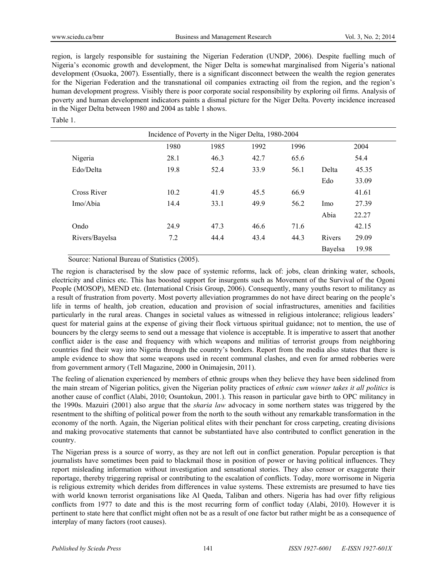region, is largely responsible for sustaining the Nigerian Federation (UNDP, 2006). Despite fuelling much of Nigeria's economic growth and development, the Niger Delta is somewhat marginalised from Nigeria's national development (Osuoka, 2007). Essentially, there is a significant disconnect between the wealth the region generates for the Nigerian Federation and the transnational oil companies extracting oil from the region, and the region's human development progress. Visibly there is poor corporate social responsibility by exploring oil firms. Analysis of poverty and human development indicators paints a dismal picture for the Niger Delta. Poverty incidence increased in the Niger Delta between 1980 and 2004 as table 1 shows.

| able |  |
|------|--|
|------|--|

| Incidence of Poverty in the Niger Delta, 1980-2004 |      |      |      |      |         |       |
|----------------------------------------------------|------|------|------|------|---------|-------|
|                                                    | 1980 | 1985 | 1992 | 1996 |         | 2004  |
| Nigeria                                            | 28.1 | 46.3 | 42.7 | 65.6 |         | 54.4  |
| Edo/Delta                                          | 19.8 | 52.4 | 33.9 | 56.1 | Delta   | 45.35 |
|                                                    |      |      |      |      | Edo     | 33.09 |
| Cross River                                        | 10.2 | 41.9 | 45.5 | 66.9 |         | 41.61 |
| Imo/Abia                                           | 14.4 | 33.1 | 49.9 | 56.2 | Imo     | 27.39 |
|                                                    |      |      |      |      | Abia    | 22.27 |
| Ondo                                               | 24.9 | 47.3 | 46.6 | 71.6 |         | 42.15 |
| Rivers/Bayelsa                                     | 7.2  | 44.4 | 43.4 | 44.3 | Rivers  | 29.09 |
|                                                    |      |      |      |      | Bayelsa | 19.98 |

Source: National Bureau of Statistics (2005).

The region is characterised by the slow pace of systemic reforms, lack of: jobs, clean drinking water, schools, electricity and clinics etc. This has boosted support for insurgents such as Movement of the Survival of the Ogoni People (MOSOP), MEND etc. (International Crisis Group, 2006). Consequently, many youths resort to militancy as a result of frustration from poverty. Most poverty alleviation programmes do not have direct bearing on the people's life in terms of health, job creation, education and provision of social infrastructures, amenities and facilities particularly in the rural areas. Changes in societal values as witnessed in religious intolerance; religious leaders' quest for material gains at the expense of giving their flock virtuous spiritual guidance; not to mention, the use of bouncers by the clergy seems to send out a message that violence is acceptable. It is imperative to assert that another conflict aider is the ease and frequency with which weapons and militias of terrorist groups from neighboring countries find their way into Nigeria through the country's borders. Report from the media also states that there is ample evidence to show that some weapons used in recent communal clashes, and even for armed robberies were from government armory (Tell Magazine, 2000 in Onimajesin, 2011).

The feeling of alienation experienced by members of ethnic groups when they believe they have been sidelined from the main stream of Nigerian politics, given the Nigerian polity practices of *ethnic cum winner takes it all politics* is another cause of conflict (Alabi, 2010; Osuntokun, 2001.). This reason in particular gave birth to OPC militancy in the 1990s. Mazuiri (2001) also argue that the *sharia law* advocacy in some northern states was triggered by the resentment to the shifting of political power from the north to the south without any remarkable transformation in the economy of the north. Again, the Nigerian political elites with their penchant for cross carpeting, creating divisions and making provocative statements that cannot be substantiated have also contributed to conflict generation in the country.

The Nigerian press is a source of worry, as they are not left out in conflict generation. Popular perception is that journalists have sometimes been paid to blackmail those in position of power or having political influences. They report misleading information without investigation and sensational stories. They also censor or exaggerate their reportage, thereby triggering reprisal or contributing to the escalation of conflicts. Today, more worrisome in Nigeria is religious extremity which derides from differences in value systems. These extremists are presumed to have ties with world known terrorist organisations like Al Qaeda, Taliban and others. Nigeria has had over fifty religious conflicts from 1977 to date and this is the most recurring form of conflict today (Alabi, 2010). However it is pertinent to state here that conflict might often not be as a result of one factor but rather might be as a consequence of interplay of many factors (root causes).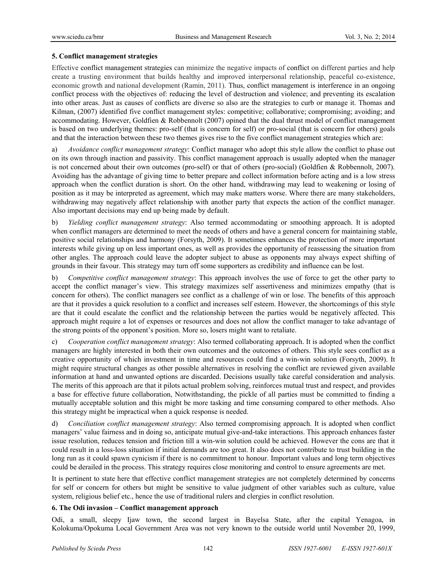## **5. Conflict management strategies**

Effective conflict management strategies can minimize the negative impacts of conflict on different parties and help create a trusting environment that builds healthy and improved interpersonal relationship, peaceful co-existence, economic growth and national development (Ramin, 2011). Thus, conflict management is interference in an ongoing conflict process with the objectives of: reducing the level of destruction and violence; and preventing its escalation into other areas. Just as causes of conflicts are diverse so also are the strategies to curb or manage it. Thomas and Kilman, (2007) identified five conflict management styles: competitive; collaborative; compromising; avoiding; and accommodating. However, Goldfien & Robbennolt (2007) opined that the dual thrust model of conflict management is based on two underlying themes: pro-self (that is concern for self) or pro-social (that is concern for others) goals and that the interaction between these two themes gives rise to the five conflict management strategies which are:

a) *Avoidance conflict management strategy*: Conflict manager who adopt this style allow the conflict to phase out on its own through inaction and passivity. This conflict management approach is usually adopted when the manager is not concerned about their own outcomes (pro-self) or that of others (pro-social) (Goldfien & Robbennolt, 2007). Avoiding has the advantage of giving time to better prepare and collect information before acting and is a low stress approach when the conflict duration is short. On the other hand, withdrawing may lead to weakening or losing of position as it may be interpreted as agreement, which may make matters worse. Where there are many stakeholders, withdrawing may negatively affect relationship with another party that expects the action of the conflict manager. Also important decisions may end up being made by default.

b) *Yielding conflict management strategy*: Also termed accommodating or smoothing approach. It is adopted when conflict managers are determined to meet the needs of others and have a general concern for maintaining stable, positive social relationships and harmony (Forsyth, 2009). It sometimes enhances the protection of more important interests while giving up on less important ones, as well as provides the opportunity of reassessing the situation from other angles. The approach could leave the adopter subject to abuse as opponents may always expect shifting of grounds in their favour. This strategy may turn off some supporters as credibility and influence can be lost.

b) *Competitive conflict management strategy*: This approach involves the use of force to get the other party to accept the conflict manager's view. This strategy maximizes self assertiveness and minimizes empathy (that is concern for others). The conflict managers see conflict as a challenge of win or lose. The benefits of this approach are that it provides a quick resolution to a conflict and increases self esteem. However, the shortcomings of this style are that it could escalate the conflict and the relationship between the parties would be negatively affected. This approach might require a lot of expenses or resources and does not allow the conflict manager to take advantage of the strong points of the opponent's position. More so, losers might want to retaliate.

c) *Cooperation conflict management strategy*: Also termed collaborating approach. It is adopted when the conflict managers are highly interested in both their own outcomes and the outcomes of others. This style sees conflict as a creative opportunity of which investment in time and resources could find a win-win solution (Forsyth, 2009). It might require structural changes as other possible alternatives in resolving the conflict are reviewed given available information at hand and unwanted options are discarded. Decisions usually take careful consideration and analysis. The merits of this approach are that it pilots actual problem solving, reinforces mutual trust and respect, and provides a base for effective future collaboration, Notwithstanding, the pickle of all parties must be committed to finding a mutually acceptable solution and this might be more tasking and time consuming compared to other methods. Also this strategy might be impractical when a quick response is needed.

d) *Conciliation conflict management strategy*: Also termed compromising approach. It is adopted when conflict managers' value fairness and in doing so, anticipate mutual give-and-take interactions. This approach enhances faster issue resolution, reduces tension and friction till a win-win solution could be achieved. However the cons are that it could result in a loss-loss situation if initial demands are too great. It also does not contribute to trust building in the long run as it could spawn cynicism if there is no commitment to honour. Important values and long term objectives could be derailed in the process. This strategy requires close monitoring and control to ensure agreements are met.

It is pertinent to state here that effective conflict management strategies are not completely determined by concerns for self or concern for others but might be sensitive to value judgment of other variables such as culture, value system, religious belief etc., hence the use of traditional rulers and clergies in conflict resolution.

## **6. The Odi invasion – Conflict management approach**

Odi, a small, sleepy Ijaw town, the second largest in Bayelsa State, after the capital Yenagoa, in Kolokuma/Opokuma Local Government Area was not very known to the outside world until November 20, 1999,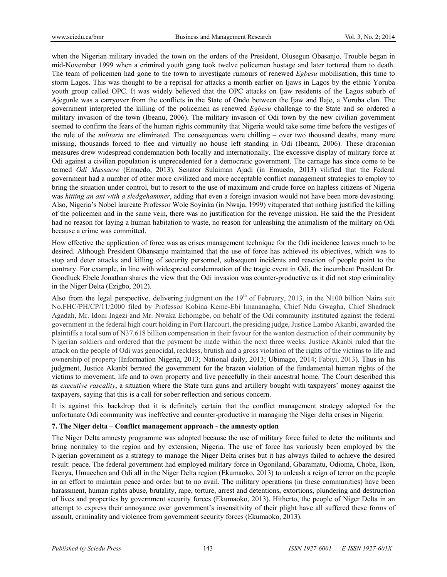when the Nigerian military invaded the town on the orders of the President, Olusegun Obasanjo. Trouble began in mid-November 1999 when a criminal youth gang took twelve policemen hostage and later tortured them to death. The team of policemen had gone to the town to investigate rumours of renewed *Egbesu* mobilisation, this time to storm Lagos. This was thought to be a reprisal for attacks a month earlier on Ijaws in Lagos by the ethnic Yoruba youth group called OPC. It was widely believed that the OPC attacks on Ijaw residents of the Lagos suburb of Ajegunle was a carryover from the conflicts in the State of Ondo between the Ijaw and Ilaje, a Yoruba clan. The government interpreted the killing of the policemen as renewed *Egbesu* challenge to the State and so ordered a military invasion of the town (Ibeanu, 2006). The military invasion of Odi town by the new civilian government seemed to confirm the fears of the human rights community that Nigeria would take some time before the vestiges of the rule of the *militaria* are eliminated. The consequences were chilling – over two thousand deaths, many more missing, thousands forced to flee and virtually no house left standing in Odi (Ibeanu, 2006). These draconian measures drew widespread condemnation both locally and internationally. The excessive display of military force at Odi against a civilian population is unprecedented for a democratic government. The carnage has since come to be termed *Odi Massacre* (Emuedo, 2013). Senator Sulaiman Ajadi (in Emuedo, 2013) vilified that the Federal government had a number of other more civilized and more acceptable conflict management strategies to employ to bring the situation under control, but to resort to the use of maximum and crude force on hapless citizens of Nigeria was *hitting an ant with a sledgehammer*, adding that even a foreign invasion would not have been more devastating. Also, Nigeria's Nobel laureate Professor Wole Soyinka (in Nwaja, 1999) vituperated that nothing justified the killing of the policemen and in the same vein, there was no justification for the revenge mission. He said the the President had no reason for laying a human habitation to waste, no reason for unleashing the animalism of the military on Odi because a crime was committed.

How effective the application of force was as crises management technique for the Odi incidence leaves much to be desired. Although President Obansanjo maintained that the use of force has achieved its objectives, which was to stop and deter attacks and killing of security personnel, subsequent incidents and reaction of people point to the contrary. For example, in line with widespread condemnation of the tragic event in Odi, the incumbent President Dr. Goodluck Ebele Jonathan shares the view that the Odi invasion was counter-productive as it did not stop criminality in the Niger Delta (Ezigbo, 2012).

Also from the legal perspective, delivering judgment on the  $19<sup>th</sup>$  of February, 2013, in the N100 billion Naira suit No.FHC/PH/CP/11/2000 filed by Professor Kobina Keme-Ebi Imananagha, Chief Ndu Gwagha, Chief Shadrack Agadah, Mr. Idoni Ingezi and Mr. Nwaka Echomgbe, on behalf of the Odi community instituted against the federal government in the federal high court holding in Port Harcourt, the presiding judge, Justice Lambo Akanbi, awarded the plaintiffs a total sum of N37.618 billion compensation in their favour for the wanton destruction of their community by Nigerian soldiers and ordered that the payment be made within the next three weeks. Justice Akanbi ruled that the attack on the people of Odi was genocidal, reckless, brutish and a gross violation of the rights of the victims to life and ownership of property (Information Nigeria, 2013; National daily, 2013; Ubimago, 2014; Fabiyi, 2013). Thus in his judgment, Justice Akanbi berated the government for the brazen violation of the fundamental human rights of the victims to movement, life and to own property and live peacefully in their ancestral home. The Court described this as *executive rascality*, a situation where the State turn guns and artillery bought with taxpayers' money against the taxpayers, saying that this is a call for sober reflection and serious concern.

It is against this backdrop that it is definitely certain that the conflict management strategy adopted for the unfortunate Odi community was ineffective and counter-productive in managing the Niger delta crises in Nigeria.

## **7. The Niger delta – Conflict management approach - the amnesty option**

The Niger Delta amnesty programme was adopted because the use of military force failed to deter the militants and bring normalcy to the region and by extension, Nigeria. The use of force has variously been employed by the Nigerian government as a strategy to manage the Niger Delta crises but it has always failed to achieve the desired result: peace. The federal government had employed military force in Ogoniland, Gbaramatu, Odioma, Choba, Ikon, Ikenya, Umuechen and Odi all in the Niger Delta region (Ekumaoko, 2013) to unleash a reign of terror on the people in an effort to maintain peace and order but to no avail. The military operations (in these communities) have been harassment, human rights abuse, brutality, rape, torture, arrest and detentions, extortions, plundering and destruction of lives and properties by government security forces (Ekumaoko, 2013). Hitherto, the people of Niger Delta in an attempt to express their annoyance over government's insensitivity of their plight have all suffered these forms of assault, criminality and violence from government security forces (Ekumaoko, 2013).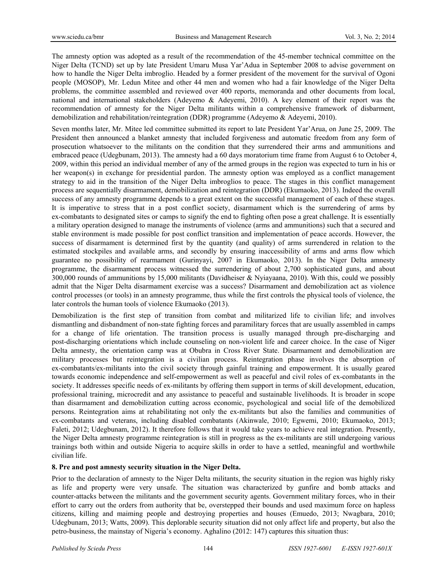The amnesty option was adopted as a result of the recommendation of the 45-member technical committee on the Niger Delta (TCND) set up by late President Umaru Musa Yar'Adua in September 2008 to advise government on how to handle the Niger Delta imbroglio. Headed by a former president of the movement for the survival of Ogoni people (MOSOP), Mr. Ledun Mitee and other 44 men and women who had a fair knowledge of the Niger Delta problems, the committee assembled and reviewed over 400 reports, memoranda and other documents from local, national and international stakeholders (Adeyemo & Adeyemi, 2010). A key element of their report was the recommendation of amnesty for the Niger Delta militants within a comprehensive framework of disbarment, demobilization and rehabilitation/reintegration (DDR) programme (Adeyemo & Adeyemi, 2010).

Seven months later, Mr. Mitee led committee submitted its report to late President Yar'Arua, on June 25, 2009. The President then announced a blanket amnesty that included forgiveness and automatic freedom from any form of prosecution whatsoever to the militants on the condition that they surrendered their arms and ammunitions and embraced peace (Udegbunam, 2013). The amnesty had a 60 days moratorium time frame from August 6 to October 4, 2009, within this period an individual member of any of the armed groups in the region was expected to turn in his or her weapon(s) in exchange for presidential pardon. The amnesty option was employed as a conflict management strategy to aid in the transition of the Niger Delta imbroglios to peace. The stages in this conflict management process are sequentially disarmament, demobilization and reintegration (DDR) (Ekumaoko, 2013). Indeed the overall success of any amnesty programme depends to a great extent on the successful management of each of these stages. It is imperative to stress that in a post conflict society, disarmament which is the surrendering of arms by ex-combatants to designated sites or camps to signify the end to fighting often pose a great challenge. It is essentially a military operation designed to manage the instruments of violence (arms and ammunitions) such that a secured and stable environment is made possible for post conflict transition and implementation of peace accords. However, the success of disarmament is determined first by the quantity (and quality) of arms surrendered in relation to the estimated stockpiles and available arms, and secondly by ensuring inaccessibility of arms and arms flow which guarantee no possibility of rearmament (Gurinyayi, 2007 in Ekumaoko, 2013). In the Niger Delta amnesty programme, the disarmament process witnessed the surrendering of about 2,700 sophisticated guns, and about 300,000 rounds of ammunitions by 15,000 militants (Davidheiser & Nyiayaana, 2010). With this, could we possibly admit that the Niger Delta disarmament exercise was a success? Disarmament and demobilization act as violence control processes (or tools) in an amnesty programme, thus while the first controls the physical tools of violence, the later controls the human tools of violence Ekumaoko (2013).

Demobilization is the first step of transition from combat and militarized life to civilian life; and involves dismantling and disbandment of non-state fighting forces and paramilitary forces that are usually assembled in camps for a change of life orientation. The transition process is usually managed through pre-discharging and post-discharging orientations which include counseling on non-violent life and career choice. In the case of Niger Delta amnesty, the orientation camp was at Obubra in Cross River State. Disarmament and demobilization are military processes but reintegration is a civilian process. Reintegration phase involves the absorption of ex-combatants/ex-militants into the civil society through gainful training and empowerment. It is usually geared towards economic independence and self-empowerment as well as peaceful and civil roles of ex-combatants in the society. It addresses specific needs of ex-militants by offering them support in terms of skill development, education, professional training, microcredit and any assistance to peaceful and sustainable livelihoods. It is broader in scope than disarmament and demobilization cutting across economic, psychological and social life of the demobilized persons. Reintegration aims at rehabilitating not only the ex-militants but also the families and communities of ex-combatants and veterans, including disabled combatants (Akinwale, 2010; Egwemi, 2010; Ekumaoko, 2013; Faleti, 2012; Udegbunam, 2012). It therefore follows that it would take years to achieve real integration. Presently, the Niger Delta amnesty programme reintegration is still in progress as the ex-militants are still undergoing various trainings both within and outside Nigeria to acquire skills in order to have a settled, meaningful and worthwhile civilian life.

## **8. Pre and post amnesty security situation in the Niger Delta.**

Prior to the declaration of amnesty to the Niger Delta militants, the security situation in the region was highly risky as life and property were very unsafe. The situation was characterized by gunfire and bomb attacks and counter-attacks between the militants and the government security agents. Government military forces, who in their effort to carry out the orders from authority that be, overstepped their bounds and used maximum force on hapless citizens, killing and maiming people and destroying properties and houses (Emuedo, 2013; Nwagbara, 2010; Udegbunam, 2013; Watts, 2009). This deplorable security situation did not only affect life and property, but also the petro-business, the mainstay of Nigeria's economy. Aghalino (2012: 147) captures this situation thus: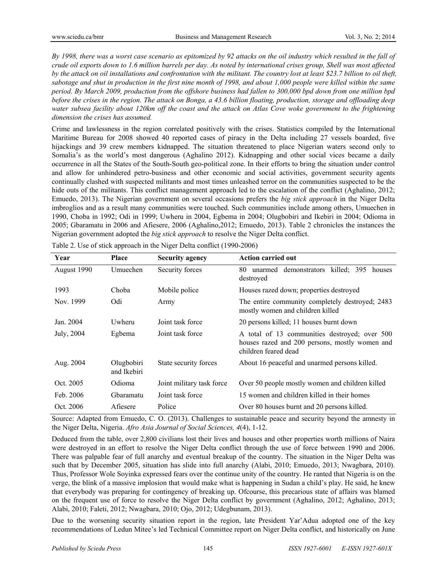*By 1998, there was a worst case scenario as epitomized by 92 attacks on the oil industry which resulted in the fall of crude oil exports down to 1.6 million barrels per day. As noted by international crises group, Shell was most affected by the attack on oil installations and confrontation with the militant. The country lost at least \$23.7 billion to oil theft, sabotage and shut in production in the first nine month of 1998, and about 1,000 people were killed within the same period. By March 2009, production from the offshore business had fallen to 300,000 bpd down from one million bpd before the crises in the region. The attack on Bonga, a 43.6 billion floating, production, storage and offloading deep water subsea facility about 120km off the coast and the attack on Atlas Cove woke government to the frightening dimension the crises has assumed.* 

Crime and lawlessness in the region correlated positively with the crises. Statistics compiled by the International Maritime Bureau for 2008 showed 40 reported cases of piracy in the Delta including 27 vessels boarded, five hijackings and 39 crew members kidnapped. The situation threatened to place Nigerian waters second only to Somalia's as the world's most dangerous (Aghalino 2012). Kidnapping and other social vices became a daily occurrence in all the States of the South-South geo-political zone. In their efforts to bring the situation under control and allow for unhindered petro-business and other economic and social activities, government security agents continually clashed with suspected militants and most times unleashed terror on the communities suspected to be the hide outs of the militants. This conflict management approach led to the escalation of the conflict (Aghalino, 2012; Emuedo, 2013). The Nigerian government on several occasions prefers the *big stick approach* in the Niger Delta imbroglios and as a result many communities were touched. Such communities include among others, Umuechen in 1990, Choba in 1992; Odi in 1999; Uwheru in 2004, Egbema in 2004; Olugbobiri and Ikebiri in 2004; Odioma in 2005; Gbaramatu in 2006 and Afiesere, 2006 (Aghalino,2012; Emuedo, 2013). Table 2 chronicles the instances the Nigerian government adopted the *big stick approach* to resolve the Niger Delta conflict.

| Year        | <b>Place</b>              | <b>Security agency</b>    | <b>Action carried out</b>                                                                                               |
|-------------|---------------------------|---------------------------|-------------------------------------------------------------------------------------------------------------------------|
| August 1990 | Umuechen                  | Security forces           | 80 unarmed demonstrators killed: 395<br>houses<br>destroyed                                                             |
| 1993        | Choba                     | Mobile police             | Houses razed down; properties destroyed                                                                                 |
| Nov. 1999   | Odi                       | Army                      | The entire community completely destroyed; 2483<br>mostly women and children killed                                     |
| Jan. 2004   | Uwheru                    | Joint task force          | 20 persons killed; 11 houses burnt down                                                                                 |
| July, 2004  | Egbema                    | Joint task force          | A total of 13 communities destroyed; over 500<br>houses razed and 200 persons, mostly women and<br>children feared dead |
| Aug. 2004   | Olugbobiri<br>and Ikebiri | State security forces     | About 16 peaceful and unarmed persons killed.                                                                           |
| Oct. 2005   | Odioma                    | Joint military task force | Over 50 people mostly women and children killed                                                                         |
| Feb. 2006   | Gbaramatu                 | Joint task force          | 15 women and children killed in their homes                                                                             |
| Oct. 2006   | Afiesere                  | Police                    | Over 80 houses burnt and 20 persons killed.                                                                             |

Table 2. Use of stick approach in the Niger Delta conflict (1990-2006)

Source: Adapted from Emuedo, C. O. (2013). Challenges to sustainable peace and security beyond the amnesty in the Niger Delta, Nigeria. *Afro Asia Journal of Social Sciences, 4*(4), 1-12.

Deduced from the table, over 2,800 civilians lost their lives and houses and other properties worth millions of Naira were destroyed in an effort to resolve the Niger Delta conflict through the use of force between 1990 and 2006. There was palpable fear of full anarchy and eventual breakup of the country. The situation in the Niger Delta was such that by December 2005, situation has slide into full anarchy (Alabi, 2010; Emuedo, 2013; Nwagbara, 2010). Thus, Professor Wole Soyinka expressed fears over the continue unity of the country. He ranted that Nigeria is on the verge, the blink of a massive implosion that would make what is happening in Sudan a child's play. He said, he knew that everybody was preparing for contingency of breaking up. Ofcourse, this precarious state of affairs was blamed on the frequent use of force to resolve the Niger Delta conflict by government (Aghalino, 2012; Aghalino, 2013; Alabi, 2010; Faleti, 2012; Nwagbara, 2010; Ojo, 2012; Udegbunam, 2013).

Due to the worsening security situation report in the region, late President Yar'Adua adopted one of the key recommendations of Ledun Mitee's led Technical Committee report on Niger Delta conflict, and historically on June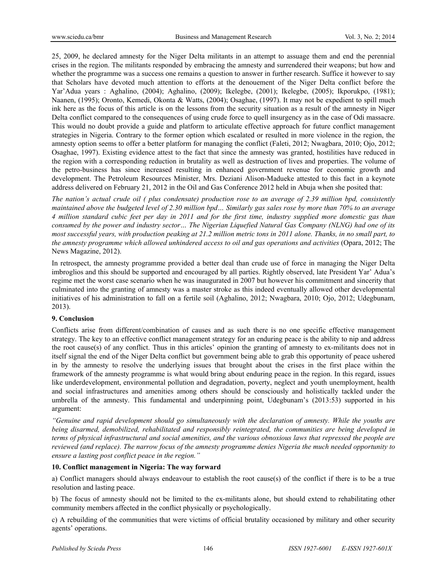25, 2009, he declared amnesty for the Niger Delta militants in an attempt to assuage them and end the perennial crises in the region. The militants responded by embracing the amnesty and surrendered their weapons; but how and whether the programme was a success one remains a question to answer in further research. Suffice it however to say that Scholars have devoted much attention to efforts at the denouement of the Niger Delta conflict before the Yar'Adua years : Aghalino, (2004); Aghalino, (2009); Ikelegbe, (2001); Ikelegbe, (2005); Ikporukpo, (1981); Naanen, (1995); Oronto, Kemedi, Okonta & Watts, (2004); Osaghae, (1997). It may not be expedient to spill much ink here as the focus of this article is on the lessons from the security situation as a result of the amnesty in Niger Delta conflict compared to the consequences of using crude force to quell insurgency as in the case of Odi massacre. This would no doubt provide a guide and platform to articulate effective approach for future conflict management strategies in Nigeria. Contrary to the former option which escalated or resulted in more violence in the region, the amnesty option seems to offer a better platform for managing the conflict (Faleti, 2012; Nwagbara, 2010; Ojo, 2012; Osaghae, 1997). Existing evidence attest to the fact that since the amnesty was granted, hostilities have reduced in the region with a corresponding reduction in brutality as well as destruction of lives and properties. The volume of the petro-business has since increased resulting in enhanced government revenue for economic growth and development. The Petroleum Resources Minister, Mrs. Deziani Alison-Madueke attested to this fact in a keynote address delivered on February 21, 2012 in the Oil and Gas Conference 2012 held in Abuja when she posited that:

*The nation's actual crude oil ( plus condensate) production rose to an average of 2.39 million bpd, consistently maintained above the budgeted level of 2.30 million bpd… Similarly gas sales rose by more than 70% to an average 4 million standard cubic feet per day in 2011 and for the first time, industry supplied more domestic gas than consumed by the power and industry sector… The Nigerian Liquefied Natural Gas Company (NLNG) had one of its most successful years, with production peaking at 21.2 million metric tons in 2011 alone. Thanks, in no small part, to the amnesty programme which allowed unhindered access to oil and gas operations and activities* (Opara, 2012; The News Magazine, 2012).

In retrospect, the amnesty programme provided a better deal than crude use of force in managing the Niger Delta imbroglios and this should be supported and encouraged by all parties. Rightly observed, late President Yar' Adua's regime met the worst case scenario when he was inaugurated in 2007 but however his commitment and sincerity that culminated into the granting of amnesty was a master stroke as this indeed eventually allowed other developmental initiatives of his administration to fall on a fertile soil (Aghalino, 2012; Nwagbara, 2010; Ojo, 2012; Udegbunam, 2013).

## **9. Conclusion**

Conflicts arise from different/combination of causes and as such there is no one specific effective management strategy. The key to an effective conflict management strategy for an enduring peace is the ability to nip and address the root cause(s) of any conflict. Thus in this articles' opinion the granting of amnesty to ex-militants does not in itself signal the end of the Niger Delta conflict but government being able to grab this opportunity of peace ushered in by the amnesty to resolve the underlying issues that brought about the crises in the first place within the framework of the amnesty programme is what would bring about enduring peace in the region. In this regard, issues like underdevelopment, environmental pollution and degradation, poverty, neglect and youth unemployment, health and social infrastructures and amenities among others should be consciously and holistically tackled under the umbrella of the amnesty. This fundamental and underpinning point, Udegbunam's (2013:53) supported in his argument:

*"Genuine and rapid development should go simultaneously with the declaration of amnesty. While the youths are being disarmed, demobilized, rehabilitated and responsibly reintegrated, the communities are being developed in terms of physical infrastructural and social amenities, and the various obnoxious laws that repressed the people are reviewed (and replace). The narrow focus of the amnesty programme denies Nigeria the much needed opportunity to ensure a lasting post conflict peace in the region."* 

## **10. Conflict management in Nigeria: The way forward**

a) Conflict managers should always endeavour to establish the root cause(s) of the conflict if there is to be a true resolution and lasting peace.

b) The focus of amnesty should not be limited to the ex-militants alone, but should extend to rehabilitating other community members affected in the conflict physically or psychologically.

c) A rebuilding of the communities that were victims of official brutality occasioned by military and other security agents' operations.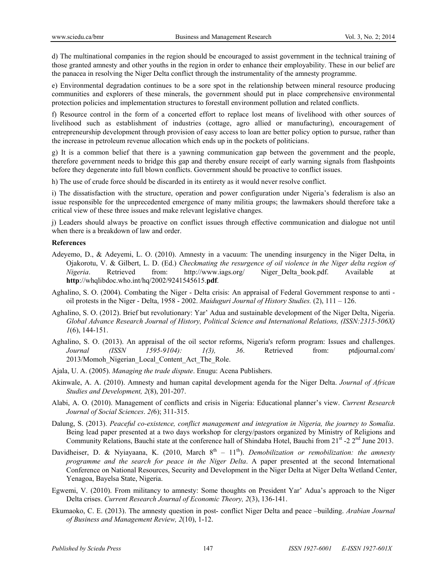d) The multinational companies in the region should be encouraged to assist government in the technical training of those granted amnesty and other youths in the region in order to enhance their employability. These in our belief are the panacea in resolving the Niger Delta conflict through the instrumentality of the amnesty programme.

e) Environmental degradation continues to be a sore spot in the relationship between mineral resource producing communities and explorers of these minerals, the government should put in place comprehensive environmental protection policies and implementation structures to forestall environment pollution and related conflicts.

f) Resource control in the form of a concerted effort to replace lost means of livelihood with other sources of livelihood such as establishment of industries (cottage, agro allied or manufacturing), encouragement of entrepreneurship development through provision of easy access to loan are better policy option to pursue, rather than the increase in petroleum revenue allocation which ends up in the pockets of politicians.

g) It is a common belief that there is a yawning communication gap between the government and the people, therefore government needs to bridge this gap and thereby ensure receipt of early warning signals from flashpoints before they degenerate into full blown conflicts. Government should be proactive to conflict issues.

h) The use of crude force should be discarded in its entirety as it would never resolve conflict.

i) The dissatisfaction with the structure, operation and power configuration under Nigeria's federalism is also an issue responsible for the unprecedented emergence of many militia groups; the lawmakers should therefore take a critical view of these three issues and make relevant legislative changes.

j) Leaders should always be proactive on conflict issues through effective communication and dialogue not until when there is a breakdown of law and order.

#### **References**

- Adeyemo, D., & Adeyemi, L. O. (2010). Amnesty in a vacuum: The unending insurgency in the Niger Delta, in Ojakorotu, V. & Gilbert, L. D. (Ed.) *Checkmating the resurgence of oil violence in the Niger delta region of Nigeria*. Retrieved from: http://www.iags.org/ Niger\_Delta\_book.pdf. Available at **http**://whqlibdoc.who.int/hq/2002/9241545615.**pdf**.
- Aghalino, S. O. (2004). Combating the Niger Delta crisis: An appraisal of Federal Government response to anti oil protests in the Niger - Delta, 1958 - 2002. *Maiduguri Journal of History Studies.* (2), 111 – 126.
- Aghalino, S. O. (2012). Brief but revolutionary: Yar' Adua and sustainable development of the Niger Delta, Nigeria. *Global Advance Research Journal of History, Political Science and International Relations, (ISSN:2315-506X) 1*(6), 144-151.
- Aghalino, S. O. (2013). An appraisal of the oil sector reforms, Nigeria's reform program: Issues and challenges. *Journal (ISSN 1595-9104): 1(3), 36*. Retrieved from: ptdjournal.com/ 2013/Momoh\_Nigerian\_Local\_Content\_Act\_The\_Role.
- Ajala, U. A. (2005). *Managing the trade dispute*. Enugu: Acena Publishers.
- Akinwale, A. A. (2010). Amnesty and human capital development agenda for the Niger Delta. *Journal of African Studies and Development, 2*(8), 201-207.
- Alabi, A. O. (2010). Management of conflicts and crisis in Nigeria: Educational planner's view. *Current Research Journal of Social Sciences*. *2(*6); 311-315.
- Dalung, S. (2013). *Peaceful co-existence, conflict management and integration in Nigeria, the journey to Somalia*. Being lead paper presented at a two days workshop for clergy/pastors organized by Ministry of Religions and Community Relations, Bauchi state at the conference hall of Shindaba Hotel, Bauchi from  $21<sup>st</sup>$  -2  $2<sup>nd</sup>$  June 2013.
- Davidheiser, D. & Nyiayaana, K. (2010, March 8<sup>th</sup> 11<sup>th</sup>). *Demobilization or remobilization: the amnesty programme and the search for peace in the Niger Delta*. A paper presented at the second International Conference on National Resources, Security and Development in the Niger Delta at Niger Delta Wetland Center, Yenagoa, Bayelsa State, Nigeria.
- Egwemi, V. (2010). From militancy to amnesty: Some thoughts on President Yar' Adua's approach to the Niger Delta crises. *Current Research Journal of Economic Theory, 2*(3), 136-141.
- Ekumaoko, C. E. (2013). The amnesty question in post- conflict Niger Delta and peace –building. *Arabian Journal of Business and Management Review, 2*(10), 1-12.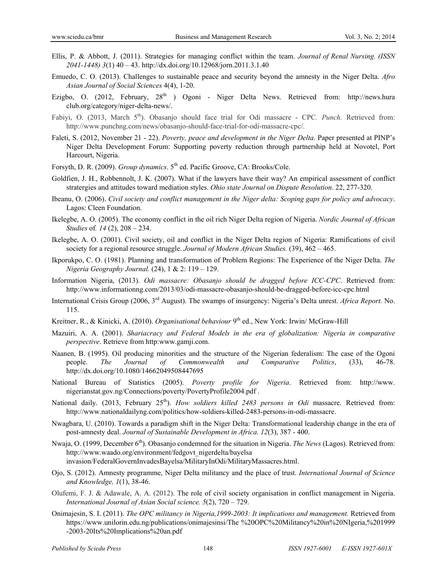- Ellis, P. & Abbott, J. (2011). Strategies for managing conflict within the team. *Journal of Renal Nursing. (ISSN 2041-1448) 3*(1) 40 – 43. http://dx.doi.org/10.12968/jorn.2011.3.1.40
- Emuedo, C. O. (2013). Challenges to sustainable peace and security beyond the amnesty in the Niger Delta. *Afro Asian Journal of Social Sciences* 4(4), 1-20.
- Ezigbo, O. (2012, February, 28<sup>th</sup>) Ogoni Niger Delta News. Retrieved from: http://news.hura club.org/category/niger-delta-news/.
- Fabiyi, O. (2013, March 5<sup>th</sup>). Obasanjo should face trial for Odi massacre CPC. Punch. Retrieved from: http://www.punchng.com/news/obasanjo-should-face-trial-for-odi-massacre-cpc/.
- Faleti, S. (2012, November 21 22). *Poverty, peace and development in the Niger Delta*. Paper presented at PINP's Niger Delta Development Forum: Supporting poverty reduction through partnership held at Novotel, Port Harcourt, Nigeria.
- Forsyth, D. R. (2009). *Group dynamics*. 5<sup>th</sup> ed. Pacific Groove, CA: Brooks/Cole.
- Goldfien, J. H., Robbennolt, J. K. (2007). What if the lawyers have their way? An empirical assessment of conflict stratergies and attitudes toward mediation styles. *Ohio state Journal on Dispute Resolution*. 22, 277-320.
- Ibeanu, O. (2006). *Civil society and conflict management in the Niger delta: Scoping gaps for policy and advocacy*. Lagos: Cleen Foundation.
- Ikelegbe, A. O. (2005). The economy conflict in the oil rich Niger Delta region of Nigeria. *Nordic Journal of African Studies* of*. 14* (2), 208 – 234.
- Ikelegbe, A. O. (2001). Civil society, oil and conflict in the Niger Delta region of Nigeria: Ramifications of civil society for a regional resource struggle. *Journal of Modern African Studies.* (39), 462 – 465.
- Ikporukpo, C. O. (1981). Planning and transformation of Problem Regions: The Experience of the Niger Delta. *The Nigeria Geography Journal.* (24), 1 & 2: 119 – 129.
- Information Nigeria, (2013). *Odi massacre: Obasanjo should be dragged before ICC-CPC*. Retrieved from: http://www.informationng.com/2013/03/odi-massacre-obasanjo-should-be-dragged-before-icc-cpc.html
- International Crisis Group (2006, 3<sup>rd</sup> August). The swamps of insurgency: Nigeria's Delta unrest. *Africa Report*. No. 115.
- Kreitner, R., & Kinicki, A. (2010). *Organisational behaviour* 9<sup>th</sup> ed., New York: Irwin/ McGraw-Hill
- Mazuiri, A. A. (2001). *Shariacracy and Federal Models in the era of globalization: Nigeria in comparative perspective*. Retrieve from http:www.gamji.com.
- Naanen, B. (1995). Oil producing minorities and the structure of the Nigerian federalism: The case of the Ogoni people. *The Journal of Commonwealth and Comparative Politics*, (33), 46-78. http://dx.doi.org/10.1080/14662049508447695
- National Bureau of Statistics (2005). *Poverty profile for Nigeria*. Retrieved from: http://www. nigerianstat.gov.ng/Connections/poverty/PovertyProfile2004.pdf .
- National daily. (2013, February 25<sup>th</sup>). *How soldiers killed 2483 persons in Odi* massacre. Retrieved from: http://www.nationaldailyng.com/politics/how-soldiers-killed-2483-persons-in-odi-massacre.
- Nwagbara, U. (2010). Towards a paradigm shift in the Niger Delta: Transformational leadership change in the era of post-amnesty deal. *Journal of Sustainable Development in Africa. 12*(3), 387 - 400.
- Nwaja, O. (1999, December 6th). Obasanjo condemned for the situation in Nigeria. *The News* (Lagos). Retrieved from: http://www.waado.org/environment/fedgovt\_nigerdelta/bayelsa invasion/FederalGovernInvadesBayelsa/MilitaryInOdi/MilitaryMassacres.html.
- Ojo, S. (2012). Amnesty programme, Niger Delta militancy and the place of trust. *International Journal of Science and Knowledge, 1*(1), 38-46.
- Olufemi, F. J. & Adawale, A. A. (2012). The role of civil society organisation in conflict management in Nigeria. *International Journal of Asian Social science. 5*(2), 720 – 729.
- Onimajesin, S. I. (2011). *The OPC militancy in Nigeria,1999-2003: It implications and management.* Retrieved from https://www.unilorin.edu.ng/publications/onimajesinsi/The %20OPC%20Militancy%20in%20NIgeria,%201999 -2003-20Its%20Implications%20an.pdf